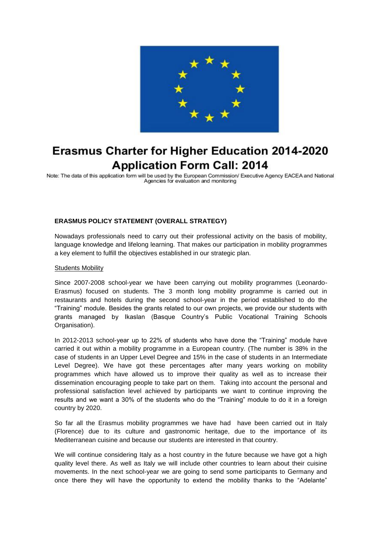

# **Erasmus Charter for Higher Education 2014-2020 Application Form Call: 2014**

Note: The data of this application form will be used by the European Commission/ Executive Agency EACEA and National Agencies for evaluation and monitoring

## **ERASMUS POLICY STATEMENT (OVERALL STRATEGY)**

Nowadays professionals need to carry out their professional activity on the basis of mobility, language knowledge and lifelong learning. That makes our participation in mobility programmes a key element to fulfill the objectives established in our strategic plan.

#### Students Mobility

Since 2007-2008 school-year we have been carrying out mobility programmes (Leonardo-Erasmus) focused on students. The 3 month long mobility programme is carried out in restaurants and hotels during the second school-year in the period established to do the "Training" module. Besides the grants related to our own projects, we provide our students with grants managed by Ikaslan (Basque Country's Public Vocational Training Schools Organisation).

In 2012-2013 school-year up to 22% of students who have done the "Training" module have carried it out within a mobility programme in a European country. (The number is 38% in the case of students in an Upper Level Degree and 15% in the case of students in an Intermediate Level Degree). We have got these percentages after many years working on mobility programmes which have allowed us to improve their quality as well as to increase their dissemination encouraging people to take part on them. Taking into account the personal and professional satisfaction level achieved by participants we want to continue improving the results and we want a 30% of the students who do the "Training" module to do it in a foreign country by 2020.

So far all the Erasmus mobility programmes we have had have been carried out in Italy (Florence) due to its culture and gastronomic heritage, due to the importance of its Mediterranean cuisine and because our students are interested in that country.

We will continue considering Italy as a host country in the future because we have got a high quality level there. As well as Italy we will include other countries to learn about their cuisine movements. In the next school-year we are going to send some participants to Germany and once there they will have the opportunity to extend the mobility thanks to the "Adelante"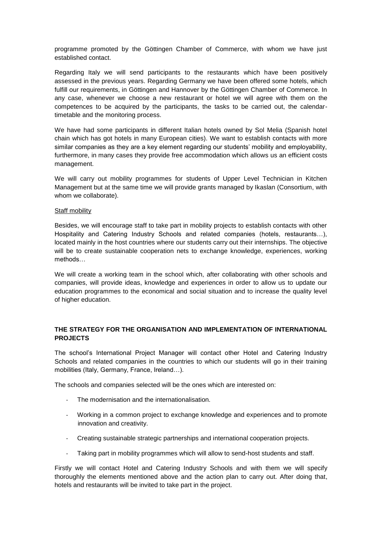programme promoted by the Göttingen Chamber of Commerce, with whom we have just established contact.

Regarding Italy we will send participants to the restaurants which have been positively assessed in the previous years. Regarding Germany we have been offered some hotels, which fulfill our requirements, in Göttingen and Hannover by the Göttingen Chamber of Commerce. In any case, whenever we choose a new restaurant or hotel we will agree with them on the competences to be acquired by the participants, the tasks to be carried out, the calendartimetable and the monitoring process.

We have had some participants in different Italian hotels owned by Sol Melia (Spanish hotel chain which has got hotels in many European cities). We want to establish contacts with more similar companies as they are a key element regarding our students' mobility and employability, furthermore, in many cases they provide free accommodation which allows us an efficient costs management.

We will carry out mobility programmes for students of Upper Level Technician in Kitchen Management but at the same time we will provide grants managed by Ikaslan (Consortium, with whom we collaborate).

### Staff mobility

Besides, we will encourage staff to take part in mobility projects to establish contacts with other Hospitality and Catering Industry Schools and related companies (hotels, restaurants…), located mainly in the host countries where our students carry out their internships. The objective will be to create sustainable cooperation nets to exchange knowledge, experiences, working methods…

We will create a working team in the school which, after collaborating with other schools and companies, will provide ideas, knowledge and experiences in order to allow us to update our education programmes to the economical and social situation and to increase the quality level of higher education.

## **THE STRATEGY FOR THE ORGANISATION AND IMPLEMENTATION OF INTERNATIONAL PROJECTS**

The school's International Project Manager will contact other Hotel and Catering Industry Schools and related companies in the countries to which our students will go in their training mobilities (Italy, Germany, France, Ireland…).

The schools and companies selected will be the ones which are interested on:

- The modernisation and the internationalisation.
- Working in a common project to exchange knowledge and experiences and to promote innovation and creativity.
- Creating sustainable strategic partnerships and international cooperation projects.
- Taking part in mobility programmes which will allow to send-host students and staff.

Firstly we will contact Hotel and Catering Industry Schools and with them we will specify thoroughly the elements mentioned above and the action plan to carry out. After doing that, hotels and restaurants will be invited to take part in the project.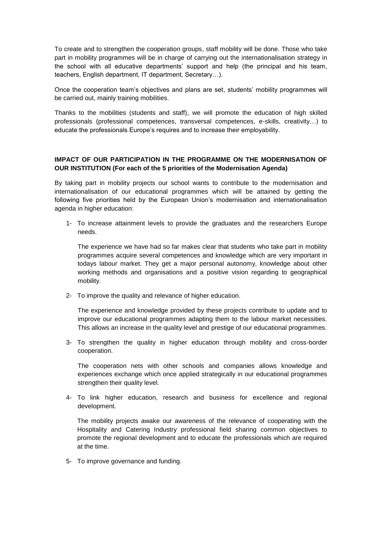To create and to strengthen the cooperation groups, staff mobility will be done. Those who take part in mobility programmes will be in charge of carrying out the internationalisation strategy in the school with all educative departments' support and help (the principal and his team, teachers, English department, IT department, Secretary…).

Once the cooperation team's objectives and plans are set, students' mobility programmes will be carried out, mainly training mobilities.

Thanks to the mobilities (students and staff), we will promote the education of high skilled professionals (professional competences, transversal competences, e-skills, creativity…) to educate the professionals Europe's requires and to increase their employability.

## **IMPACT OF OUR PARTICIPATION IN THE PROGRAMME ON THE MODERNISATION OF OUR INSTITUTION (For each of the 5 priorities of the Modernisation Agenda)**

By taking part in mobility projects our school wants to contribute to the modernisation and internationalisation of our educational programmes which will be attained by getting the following five priorities held by the European Union's modernisation and internationalisation agenda in higher education:

1- To increase attainment levels to provide the graduates and the researchers Europe needs.

The experience we have had so far makes clear that students who take part in mobility programmes acquire several competences and knowledge which are very important in todays labour market. They get a major personal autonomy, knowledge about other working methods and organisations and a positive vision regarding to geographical mobility.

2- To improve the quality and relevance of higher education.

The experience and knowledge provided by these projects contribute to update and to improve our educational programmes adapting them to the labour market necessities. This allows an increase in the quality level and prestige of our educational programmes.

3- To strengthen the quality in higher education through mobility and cross-border cooperation.

The cooperation nets with other schools and companies allows knowledge and experiences exchange which once applied strategically in our educational programmes strengthen their quality level.

4- To link higher education, research and business for excellence and regional development.

The mobility projects awake our awareness of the relevance of cooperating with the Hospitality and Catering Industry professional field sharing common objectives to promote the regional development and to educate the professionals which are required at the time.

5- To improve governance and funding.